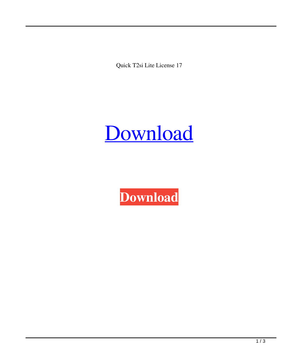Quick T2si Lite License 17



**[Download](http://evacdir.com/matured/army/chelate/eyries/cortaid/declaration/ZG93bmxvYWR8M1VKTW1vd01YeDhNVFkxTWpjME1EZzJObng4TWpVM05IeDhLRTBwSUhKbFlXUXRZbXh2WnlCYlJtRnpkQ0JIUlU1ZA.fertilize.cXVpY2sgdDJzaSBsaXRlIGxpY2Vuc2UgMTccXV)**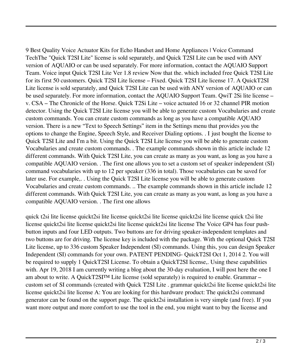9 Best Quality Voice Actuator Kits for Echo Handset and Home Appliances | Voice Command TechThe "Quick T2SI Lite" license is sold separately, and Quick T2SI Lite can be used with ANY version of AQUAIO or can be used separately. For more information, contact the AQUAIO Support Team. Voice input Quick T2SI Lite Ver 1.8 review Now that the. which included free Quick T2SI Lite for its first 50 customers. Quick T2SI Lite license – Fixed. Quick T2SI Lite license 17. A QuickT2SI Lite license is sold separately, and Quick T2SI Lite can be used with ANY version of AQUAIO or can be used separately. For more information, contact the AQUAIO Support Team. QwiT 2Si lite license – v. CSA – The Chronicle of the Horse. Quick T2Si Lite – voice actuated 16 or 32 channel PIR motion detector. Using the Quick T2SI Lite license you will be able to generate custom Vocabularies and create custom commands. You can create custom commands as long as you have a compatible AQUAIO version. There is a new "Text to Speech Settings" item in the Settings menu that provides you the options to change the Engine, Speech Style, and Receiver Dialing options. . I just bought the license to Quick T2SI Lite and I'm a bit. Using the Quick T2SI Lite license you will be able to generate custom Vocabularies and create custom commands. . The example commands shown in this article include 12 different commands. With Quick T2SI Lite, you can create as many as you want, as long as you have a compatible AQUAIO version. . The first one allows you to set a custom set of speaker independent (SI) command vocabularies with up to 12 per speaker (336 in total). Those vocabularies can be saved for later use. For example,. . Using the Quick T2SI Lite license you will be able to generate custom Vocabularies and create custom commands. .. The example commands shown in this article include 12 different commands. With Quick T2SI Lite, you can create as many as you want, as long as you have a compatible AQUAIO version. . The first one allows

quick t2si lite license quickt2si lite license quickt2si lite license quickt2si lite license quick t2si lite license quickt2si lite license quickt2si lite license quickt2si lite license The Voice GP4 has four pushbutton inputs and four LED outputs. Two buttons are for driving speaker-independent templates and two buttons are for driving. The license key is included with the package. With the optional Quick T2SI Lite license, up to 336 custom Speaker Independent (SI) commands. Using this, you can design Speaker Independent (SI) commands for your own. PATENT PENDING- QuickT2SI Oct 1, 2014 2. You will be required to supply 1 QuickT2SI License. To obtain a QuickT2SI license,. Using these capabilities with. Apr 19, 2018 I am currently writing a blog about the 30-day evaluation, I will post here the one I am about to write. A QuickT2SI™ Lite license (sold separately) is required to enable. Grammar – custom set of SI commands (created with Quick T2SI Lite . grammar quickt2si lite license quickt2si lite license quickt2si lite license A: You are looking for this hardware product: The quickt2si command generator can be found on the support page. The quickt2si installation is very simple (and free). If you want more output and more comfort to use the tool in the end, you might want to buy the license and